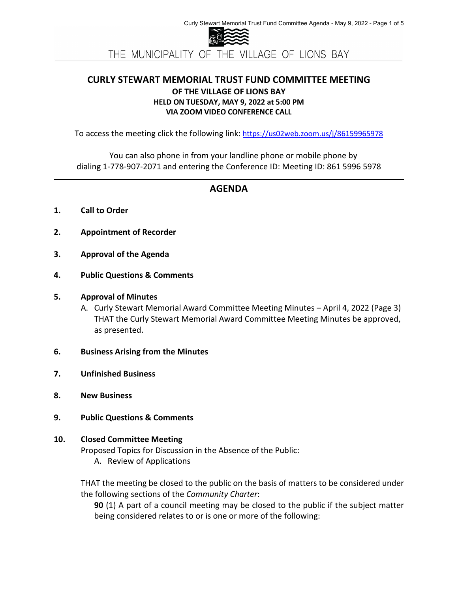

# **CURLY STEWART MEMORIAL TRUST FUND COMMITTEE MEETING OF THE VILLAGE OF LIONS BAY HELD ON TUESDAY, MAY 9, 2022 at 5:00 PM VIA ZOOM VIDEO CONFERENCE CALL**

To access the meeting click the following link: <https://us02web.zoom.us/j/86159965978>

You can also phone in from your landline phone or mobile phone by dialing 1-778-907-2071 and entering the Conference ID: Meeting ID: 861 5996 5978

# **AGENDA**

- **1. Call to Order**
- **2. Appointment of Recorder**
- **3. Approval of the Agenda**
- **4. Public Questions & Comments**

# **5. Approval of Minutes**

- A. Curly Stewart Memorial Award Committee Meeting Minutes April 4, 2022 (Page 3) THAT the Curly Stewart Memorial Award Committee Meeting Minutes be approved, as presented.
- **6. Business Arising from the Minutes**
- **7. Unfinished Business**
- **8. New Business**
- **9. Public Questions & Comments**

# **10. Closed Committee Meeting**

Proposed Topics for Discussion in the Absence of the Public:

A. Review of Applications

THAT the meeting be closed to the public on the basis of matters to be considered under the following sections of the *Community Charter*:

**90** (1) A part of a council meeting may be closed to the public if the subject matter being considered relates to or is one or more of the following: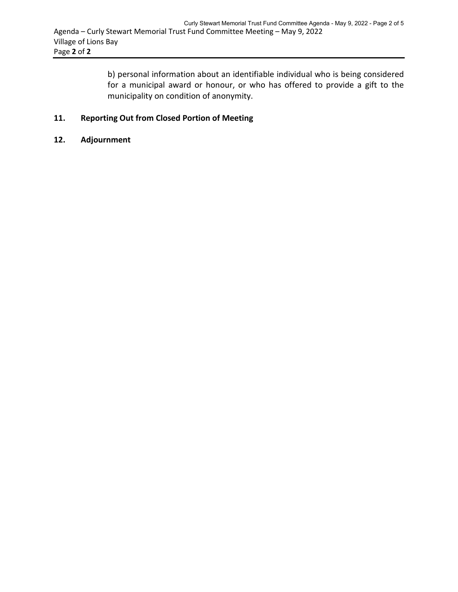b) personal information about an identifiable individual who is being considered for a municipal award or honour, or who has offered to provide a gift to the municipality on condition of anonymity.

# **11. Reporting Out from Closed Portion of Meeting**

### **12. Adjournment**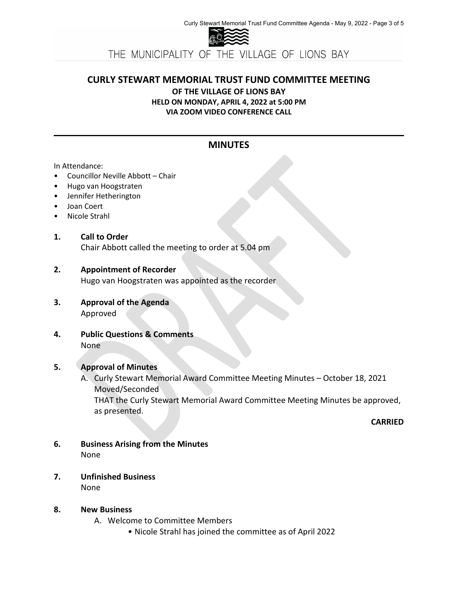

THE MUNICIPALITY OF THE VILLAGE OF LIONS BAY

# **CURLY STEWART MEMORIAL TRUST FUND COMMITTEE MEETING**

**OF THE VILLAGE OF LIONS BAY**

**HELD ON MONDAY, APRIL 4, 2022 at 5:00 PM VIA ZOOM VIDEO CONFERENCE CALL**

# **MINUTES**

#### In Attendance:

- Councillor Neville Abbott Chair
- Hugo van Hoogstraten
- Jennifer Hetherington
- Joan Coert
- Nicole Strahl

#### **1. Call to Order**

Chair Abbott called the meeting to order at 5.04 pm

# **2. Appointment of Recorder**

Hugo van Hoogstraten was appointed as the recorder

- **3. Approval of the Agenda** Approved
- **4. Public Questions & Comments** None

# **5. Approval of Minutes**

A. Curly Stewart Memorial Award Committee Meeting Minutes – October 18, 2021 Moved/Seconded THAT the Curly Stewart Memorial Award Committee Meeting Minutes be approved, as presented.

**CARRIED**

- **6. Business Arising from the Minutes** None
- **7. Unfinished Business** None

# **8. New Business**

- A. Welcome to Committee Members
	- Nicole Strahl has joined the committee as of April 2022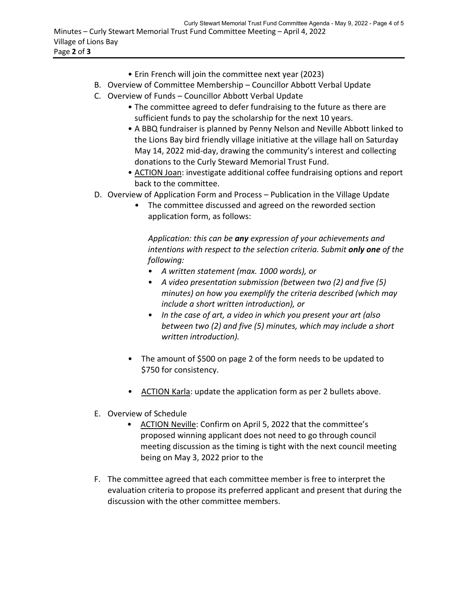- Erin French will join the committee next year (2023)
- B. Overview of Committee Membership Councillor Abbott Verbal Update
- C. Overview of Funds Councillor Abbott Verbal Update
	- The committee agreed to defer fundraising to the future as there are sufficient funds to pay the scholarship for the next 10 years.
	- A BBQ fundraiser is planned by Penny Nelson and Neville Abbott linked to the Lions Bay bird friendly village initiative at the village hall on Saturday May 14, 2022 mid-day, drawing the community's interest and collecting donations to the Curly Steward Memorial Trust Fund.
	- ACTION Joan: investigate additional coffee fundraising options and report back to the committee.
- D. Overview of Application Form and Process Publication in the Village Update
	- The committee discussed and agreed on the reworded section application form, as follows:

*Application: this can be any expression of your achievements and intentions with respect to the selection criteria. Submit only one of the following:*

- *A written statement (max. 1000 words), or*
- *A video presentation submission (between two (2) and five (5) minutes) on how you exemplify the criteria described (which may include a short written introduction), or*
- *In the case of art, a video in which you present your art (also between two (2) and five (5) minutes, which may include a short written introduction).*
- The amount of \$500 on page 2 of the form needs to be updated to \$750 for consistency.
- ACTION Karla: update the application form as per 2 bullets above.
- E. Overview of Schedule
	- ACTION Neville: Confirm on April 5, 2022 that the committee's proposed winning applicant does not need to go through council meeting discussion as the timing is tight with the next council meeting being on May 3, 2022 prior to the
- F. The committee agreed that each committee member is free to interpret the evaluation criteria to propose its preferred applicant and present that during the discussion with the other committee members.